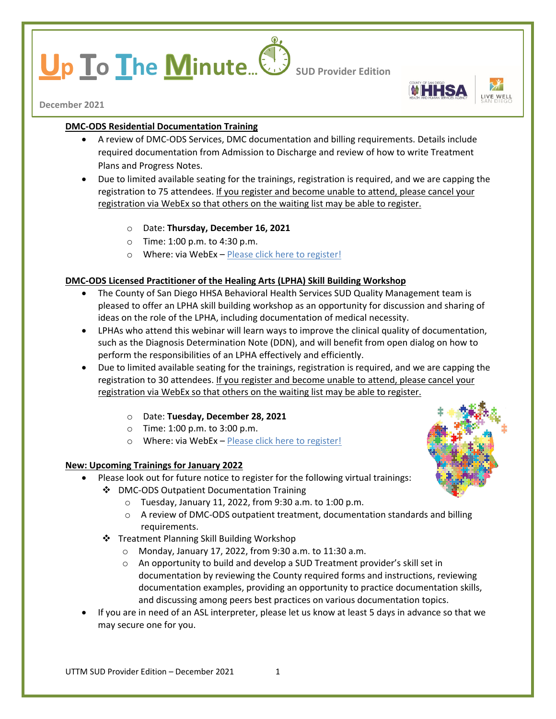# **p lo I**he **Minute**... **Sup Provider Edition**



**December 2021**

## **DMC-ODS Residential Documentation Training**

- A review of DMC-ODS Services, DMC documentation and billing requirements. Details include required documentation from Admission to Discharge and review of how to write Treatment Plans and Progress Notes.
- Due to limited available seating for the trainings, registration is required, and we are capping the registration to 75 attendees. If you register and become unable to attend, please cancel your registration via WebEx so that others on the waiting list may be able to register.
	- o Date: **Thursday, December 16, 2021**
	- o Time: 1:00 p.m. to 4:30 p.m.
	- o Where: via WebEx [Please click here to register!](https://sdcountyca.webex.com/mw3300/mywebex/default.do?service=7&nomenu=true&main_url=%2Ftc3300%2Ftrainingcenter%2FLoading.do%3Fsiteurl%3Dsdcountyca%26UID%3D-99999999%26RT%3DMiM0%26siteurl%3Dsdcountyca%26apiname%3Dj.php%26MTID%3Dt83ed3532ca9524f1607ba47494ef7f94%26FM%3D1%26rnd%3D6870524434%26servicename%3DTC%26ED%3D1455946022%26needFilter%3Dfalse&siteurl=sdcountyca)

## **DMC-ODS Licensed Practitioner of the Healing Arts (LPHA) Skill Building Workshop**

- The County of San Diego HHSA Behavioral Health Services SUD Quality Management team is pleased to offer an LPHA skill building workshop as an opportunity for discussion and sharing of ideas on the role of the LPHA, including documentation of medical necessity.
- LPHAs who attend this webinar will learn ways to improve the clinical quality of documentation, such as the Diagnosis Determination Note (DDN), and will benefit from open dialog on how to perform the responsibilities of an LPHA effectively and efficiently.
- Due to limited available seating for the trainings, registration is required, and we are capping the registration to 30 attendees. If you register and become unable to attend, please cancel your registration via WebEx so that others on the waiting list may be able to register.
	- o Date: **Tuesday, December 28, 2021**
	- o Time: 1:00 p.m. to 3:00 p.m.
	- o Where: via WebEx [Please click here to register!](https://sdcountyca.webex.com/sdcountyca/k2/j.php?MTID=t95905b22e0b993d409a24bf0135ea203)

## **New: Upcoming Trainings for January 2022**

- Please look out for future notice to register for the following virtual trainings:
	- ❖ DMC-ODS Outpatient Documentation Training



- - o Tuesday, January 11, 2022, from 9:30 a.m. to 1:00 p.m.
		- $\circ$  A review of DMC-ODS outpatient treatment, documentation standards and billing requirements.
	- ❖ Treatment Planning Skill Building Workshop
		- o Monday, January 17, 2022, from 9:30 a.m. to 11:30 a.m.
		- o An opportunity to build and develop a SUD Treatment provider's skill set in documentation by reviewing the County required forms and instructions, reviewing documentation examples, providing an opportunity to practice documentation skills, and discussing among peers best practices on various documentation topics.
- If you are in need of an ASL interpreter, please let us know at least 5 days in advance so that we may secure one for you.

 $UTTM$  SUD Provider Edition – December 2021  $1$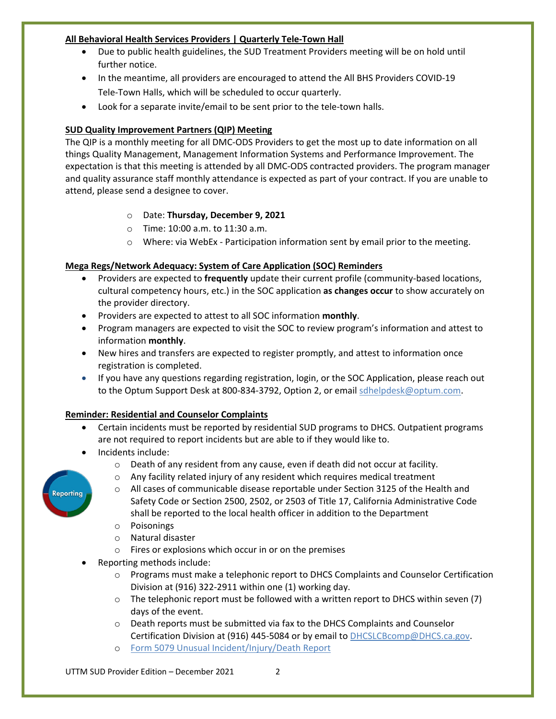## **All Behavioral Health Services Providers | Quarterly Tele-Town Hall**

- Due to public health guidelines, the SUD Treatment Providers meeting will be on hold until further notice.
- In the meantime, all providers are encouraged to attend the All BHS Providers COVID-19 Tele-Town Halls, which will be scheduled to occur quarterly.
- Look for a separate invite/email to be sent prior to the tele-town halls.

## **SUD Quality Improvement Partners (QIP) Meeting**

The QIP is a monthly meeting for all DMC-ODS Providers to get the most up to date information on all things Quality Management, Management Information Systems and Performance Improvement. The expectation is that this meeting is attended by all DMC-ODS contracted providers. The program manager and quality assurance staff monthly attendance is expected as part of your contract. If you are unable to attend, please send a designee to cover.

# o Date: **Thursday, December 9, 2021**

- o Time: 10:00 a.m. to 11:30 a.m.
- $\circ$  Where: via WebEx Participation information sent by email prior to the meeting.

# **Mega Regs/Network Adequacy: System of Care Application (SOC) Reminders**

- Providers are expected to **frequently** update their current profile (community-based locations, cultural competency hours, etc.) in the SOC application **as changes occur** to show accurately on the provider directory.
- Providers are expected to attest to all SOC information **monthly**.
- Program managers are expected to visit the SOC to review program's information and attest to information **monthly**.
- New hires and transfers are expected to register promptly, and attest to information once registration is completed.
- If you have any questions regarding registration, login, or the SOC Application, please reach out to the Optum Support Desk at 800-834-3792, Option 2, or email [sdhelpdesk@optum.com.](mailto:sdhelpdesk@optum.com)

## **Reminder: Residential and Counselor Complaints**

- Certain incidents must be reported by residential SUD programs to DHCS. Outpatient programs are not required to report incidents but are able to if they would like to.
- Incidents include:
	- o Death of any resident from any cause, even if death did not occur at facility.
	- o Any facility related injury of any resident which requires medical treatment
	- $\circ$  All cases of communicable disease reportable under Section 3125 of the Health and Safety Code or Section 2500, 2502, or 2503 of Title 17, California Administrative Code shall be reported to the local health officer in addition to the Department
	- o Poisonings
	- o Natural disaster
	- o Fires or explosions which occur in or on the premises
- Reporting methods include:
	- o Programs must make a telephonic report to DHCS Complaints and Counselor Certification Division at (916) 322-2911 within one (1) working day.
	- $\circ$  The telephonic report must be followed with a written report to DHCS within seven (7) days of the event.
	- o Death reports must be submitted via fax to the DHCS Complaints and Counselor Certification Division at (916) 445-5084 or by email t[o DHCSLCBcomp@DHCS.ca.gov.](mailto:DHCSLCBcomp@DHCS.ca.gov)
	- o [Form 5079 Unusual Incident/Injury/Death Report](https://www.dhcs.ca.gov/provgovpart/Documents/DHCS-5079-Unusual-Incident-Report.pdf)

UTTM SUD Provider Edition – December 2021 2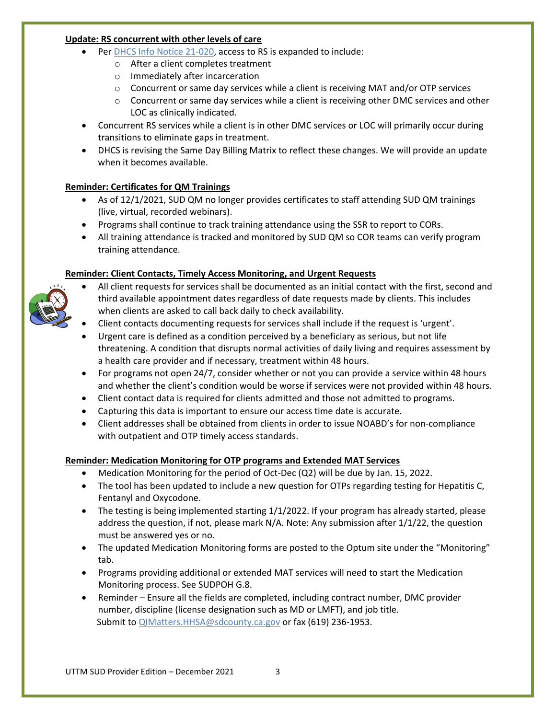## **Update: RS concurrent with other levels of care**

- Per [DHCS Info Notice 21-020,](https://www.dhcs.ca.gov/Documents/BHIN-21-020-DMC-ODS-Clarification-on-Recovery-Services.pdf) access to RS is expanded to include:
	- o After a client completes treatment
	- o Immediately after incarceration
	- $\circ$  Concurrent or same day services while a client is receiving MAT and/or OTP services
	- $\circ$  Concurrent or same day services while a client is receiving other DMC services and other LOC as clinically indicated.
- Concurrent RS services while a client is in other DMC services or LOC will primarily occur during transitions to eliminate gaps in treatment.
- DHCS is revising the Same Day Billing Matrix to reflect these changes. We will provide an update when it becomes available.

## **Reminder: Certificates for QM Trainings**

- As of 12/1/2021, SUD QM no longer provides certificates to staff attending SUD QM trainings (live, virtual, recorded webinars).
- Programs shall continue to track training attendance using the SSR to report to CORs.
- All training attendance is tracked and monitored by SUD QM so COR teams can verify program training attendance.

# **Reminder: Client Contacts, Timely Access Monitoring, and Urgent Requests**

- All client requests for services shall be documented as an initial contact with the first, second and third available appointment dates regardless of date requests made by clients. This includes when clients are asked to call back daily to check availability.
- Client contacts documenting requests for services shall include if the request is 'urgent'.
- Urgent care is defined as a condition perceived by a beneficiary as serious, but not life threatening. A condition that disrupts normal activities of daily living and requires assessment by a health care provider and if necessary, treatment within 48 hours.
- For programs not open 24/7, consider whether or not you can provide a service within 48 hours and whether the client's condition would be worse if services were not provided within 48 hours.
- Client contact data is required for clients admitted and those not admitted to programs.
- Capturing this data is important to ensure our access time date is accurate.
- Client addresses shall be obtained from clients in order to issue NOABD's for non-compliance with outpatient and OTP timely access standards.

## **Reminder: Medication Monitoring for OTP programs and Extended MAT Services**

- Medication Monitoring for the period of Oct-Dec (Q2) will be due by Jan. 15, 2022.
- The tool has been updated to include a new question for OTPs regarding testing for Hepatitis C, Fentanyl and Oxycodone.
- The testing is being implemented starting 1/1/2022. If your program has already started, please address the question, if not, please mark N/A. Note: Any submission after 1/1/22, the question must be answered yes or no.
- The updated Medication Monitoring forms are posted to the Optum site under the "Monitoring" tab.
- Programs providing additional or extended MAT services will need to start the Medication Monitoring process. See SUDPOH G.8.
- Reminder Ensure all the fields are completed, including contract number, DMC provider number, discipline (license designation such as MD or LMFT), and job title. Submit to [QIMatters.HHSA@sdcounty.ca.gov](mailto:QIMatters.HHSA@sdcounty.ca.gov) or fax (619) 236-1953.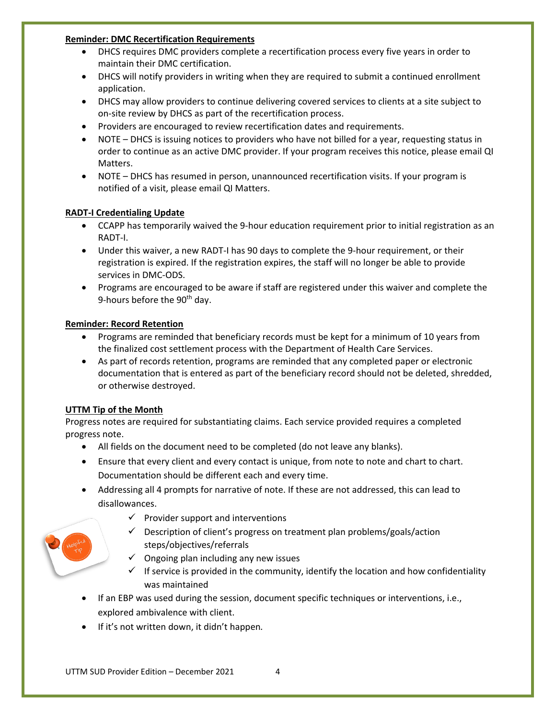### **Reminder: DMC Recertification Requirements**

- DHCS requires DMC providers complete a recertification process every five years in order to maintain their DMC certification.
- DHCS will notify providers in writing when they are required to submit a continued enrollment application.
- DHCS may allow providers to continue delivering covered services to clients at a site subject to on-site review by DHCS as part of the recertification process.
- Providers are encouraged to review recertification dates and requirements.
- NOTE DHCS is issuing notices to providers who have not billed for a year, requesting status in order to continue as an active DMC provider. If your program receives this notice, please email QI Matters.
- NOTE DHCS has resumed in person, unannounced recertification visits. If your program is notified of a visit, please email QI Matters.

## **RADT-I Credentialing Update**

- CCAPP has temporarily waived the 9-hour education requirement prior to initial registration as an RADT-I.
- Under this waiver, a new RADT-I has 90 days to complete the 9-hour requirement, or their registration is expired. If the registration expires, the staff will no longer be able to provide services in DMC-ODS.
- Programs are encouraged to be aware if staff are registered under this waiver and complete the 9-hours before the  $90<sup>th</sup>$  day.

## **Reminder: Record Retention**

- Programs are reminded that beneficiary records must be kept for a minimum of 10 years from the finalized cost settlement process with the Department of Health Care Services.
- As part of records retention, programs are reminded that any completed paper or electronic documentation that is entered as part of the beneficiary record should not be deleted, shredded, or otherwise destroyed.

## **UTTM Tip of the Month**

Progress notes are required for substantiating claims. Each service provided requires a completed progress note.

- All fields on the document need to be completed (do not leave any blanks).
- Ensure that every client and every contact is unique, from note to note and chart to chart. Documentation should be different each and every time.
- Addressing all 4 prompts for narrative of note. If these are not addressed, this can lead to disallowances.
	- $\checkmark$  Provider support and interventions
	- $\checkmark$  Description of client's progress on treatment plan problems/goals/action steps/objectives/referrals
	- $\checkmark$  Ongoing plan including any new issues
	- $\checkmark$  If service is provided in the community, identify the location and how confidentiality was maintained
- If an EBP was used during the session, document specific techniques or interventions, i.e., explored ambivalence with client.
- If it's not written down, it didn't happen*.*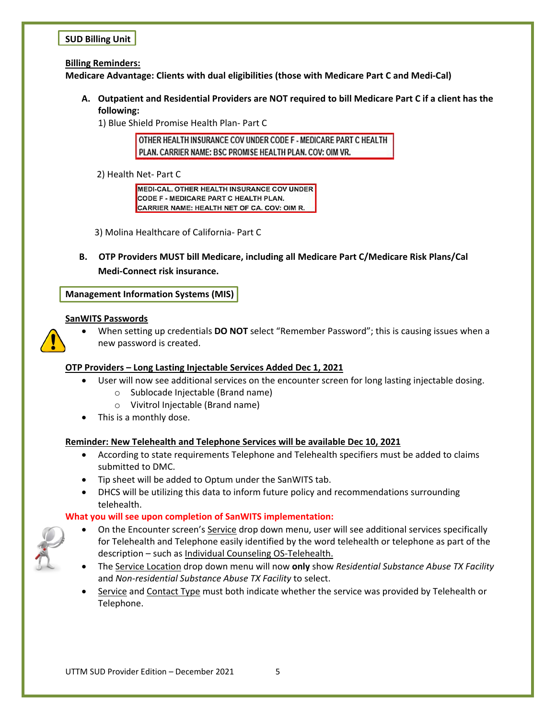## **SUD Billing Unit**

#### **Billing Reminders:**

**Medicare Advantage: Clients with dual eligibilities (those with Medicare Part C and Medi-Cal)**

**A. Outpatient and Residential Providers are NOT required to bill Medicare Part C if a client has the following:**

1) Blue Shield Promise Health Plan- Part C

OTHER HEALTH INSURANCE COV UNDER CODE F - MEDICARE PART C HEALTH PLAN. CARRIER NAME: BSC PROMISE HEALTH PLAN. COV: OIM VR.

2) Health Net- Part C

MEDI-CAL. OTHER HEALTH INSURANCE COV UNDER CODE F - MEDICARE PART C HEALTH PLAN. CARRIER NAME: HEALTH NET OF CA. COV: OIM R.

3) Molina Healthcare of California- Part C

**B. OTP Providers MUST bill Medicare, including all Medicare Part C/Medicare Risk Plans/Cal Medi-Connect risk insurance.** 

**Management Information Systems (MIS)**

#### **SanWITS Passwords**



• When setting up credentials **DO NOT** select "Remember Password"; this is causing issues when a new password is created.

## **OTP Providers – Long Lasting Injectable Services Added Dec 1, 2021**

- User will now see additional services on the encounter screen for long lasting injectable dosing.
	- o Sublocade Injectable (Brand name)
	- o Vivitrol Injectable (Brand name)
- This is a monthly dose.

## **Reminder: New Telehealth and Telephone Services will be available Dec 10, 2021**

- According to state requirements Telephone and Telehealth specifiers must be added to claims submitted to DMC.
- Tip sheet will be added to Optum under the SanWITS tab.
- DHCS will be utilizing this data to inform future policy and recommendations surrounding telehealth.

## **What you will see upon completion of SanWITS implementation:**



- On the Encounter screen's Service drop down menu, user will see additional services specifically for Telehealth and Telephone easily identified by the word telehealth or telephone as part of the description – such as Individual Counseling OS-Telehealth.
- The Service Location drop down menu will now **only** show *Residential Substance Abuse TX Facility* and *Non-residential Substance Abuse TX Facility* to select.
- Service and Contact Type must both indicate whether the service was provided by Telehealth or Telephone.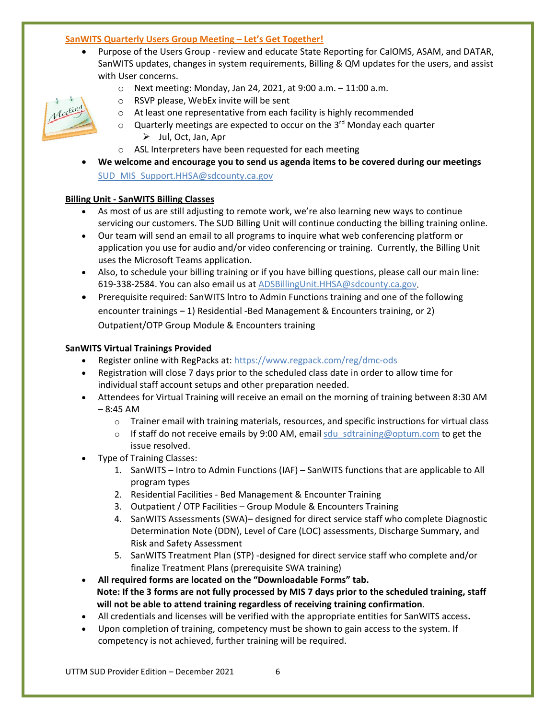## **SanWITS Quarterly Users Group Meeting – Let's Get Together!**

• Purpose of the Users Group - review and educate State Reporting for CalOMS, ASAM, and DATAR, SanWITS updates, changes in system requirements, Billing & QM updates for the users, and assist with User concerns.



- $\circ$  Next meeting: Monday, Jan 24, 2021, at 9:00 a.m.  $-11:00$  a.m. o RSVP please, WebEx invite will be sent
- o At least one representative from each facility is highly recommended
- $\circ$  Quarterly meetings are expected to occur on the 3<sup>rd</sup> Monday each quarter
	- $\triangleright$  Jul, Oct, Jan, Apr
- o ASL Interpreters have been requested for each meeting
- **We welcome and encourage you to send us agenda items to be covered during our meetings** [SUD\\_MIS\\_Support.HHSA@sdcounty.ca.gov](mailto:SUD_MIS_Support.HHSA@sdcounty.ca.gov)

#### **Billing Unit - SanWITS Billing Classes**

- As most of us are still adjusting to remote work, we're also learning new ways to continue servicing our customers. The SUD Billing Unit will continue conducting the billing training online.
- Our team will send an email to all programs to inquire what web conferencing platform or application you use for audio and/or video conferencing or training. Currently, the Billing Unit uses the Microsoft Teams application.
- Also, to schedule your billing training or if you have billing questions, please call our main line: 619-338-2584. You can also email us at [ADSBillingUnit.HHSA@sdcounty.ca.gov.](mailto:ADSBillingUnit.HHSA@sdcounty.ca.gov)
- Prerequisite required: SanWITS lntro to Admin Functions training and one of the following encounter trainings – 1) Residential -Bed Management & Encounters training, or 2) Outpatient/OTP Group Module & Encounters training

#### **SanWITS Virtual Trainings Provided**

- Register online with RegPacks at: <https://www.regpack.com/reg/dmc-ods>
- Registration will close 7 days prior to the scheduled class date in order to allow time for individual staff account setups and other preparation needed.
- Attendees for Virtual Training will receive an email on the morning of training between 8:30 AM – 8:45 AM
	- $\circ$  Trainer email with training materials, resources, and specific instructions for virtual class
	- $\circ$  If staff do not receive emails by 9:00 AM, email sdu sdtraining@optum.com to get the issue resolved.
- Type of Training Classes:
	- 1. SanWITS Intro to Admin Functions (IAF) SanWITS functions that are applicable to All program types
	- 2. Residential Facilities Bed Management & Encounter Training
	- 3. Outpatient / OTP Facilities Group Module & Encounters Training
	- 4. SanWITS Assessments (SWA)– designed for direct service staff who complete Diagnostic Determination Note (DDN), Level of Care (LOC) assessments, Discharge Summary, and Risk and Safety Assessment
	- 5. SanWITS Treatment Plan (STP) -designed for direct service staff who complete and/or finalize Treatment Plans (prerequisite SWA training)
- **All required forms are located on the "Downloadable Forms" tab. Note: If the 3 forms are not fully processed by MIS 7 days prior to the scheduled training, staff will not be able to attend training regardless of receiving training confirmation**.
- All credentials and licenses will be verified with the appropriate entities for SanWITS access**.**
- Upon completion of training, competency must be shown to gain access to the system. If competency is not achieved, further training will be required.

UTTM SUD Provider Edition - December 2021 6